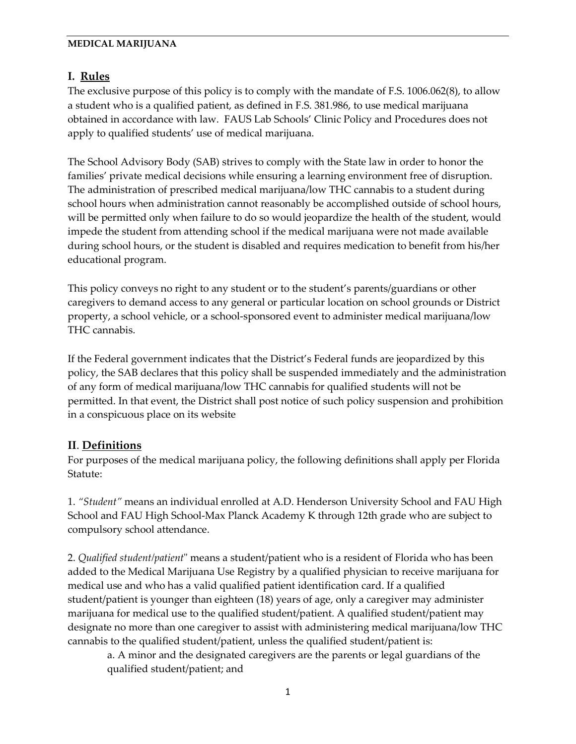# **I. Rules**

The exclusive purpose of this policy is to comply with the mandate of F.S. 1006.062(8), to allow a student who is a qualified patient, as defined in F.S. 381.986, to use medical marijuana obtained in accordance with law. FAUS Lab Schools' Clinic Policy and Procedures does not apply to qualified students' use of medical marijuana.

The School Advisory Body (SAB) strives to comply with the State law in order to honor the families' private medical decisions while ensuring a learning environment free of disruption. The administration of prescribed medical marijuana/low THC cannabis to a student during school hours when administration cannot reasonably be accomplished outside of school hours, will be permitted only when failure to do so would jeopardize the health of the student, would impede the student from attending school if the medical marijuana were not made available during school hours, or the student is disabled and requires medication to benefit from his/her educational program.

This policy conveys no right to any student or to the student's parents/guardians or other caregivers to demand access to any general or particular location on school grounds or District property, a school vehicle, or a school-sponsored event to administer medical marijuana/low THC cannabis.

If the Federal government indicates that the District's Federal funds are jeopardized by this policy, the SAB declares that this policy shall be suspended immediately and the administration of any form of medical marijuana/low THC cannabis for qualified students will not be permitted. In that event, the District shall post notice of such policy suspension and prohibition in a conspicuous place on its website

# **II**. **Definitions**

For purposes of the medical marijuana policy, the following definitions shall apply per Florida Statute:

1. *"Student"* means an individual enrolled at A.D. Henderson University School and FAU High School and FAU High School-Max Planck Academy K through 12th grade who are subject to compulsory school attendance.

2. *Qualified student/patient*" means a student/patient who is a resident of Florida who has been added to the Medical Marijuana Use Registry by a qualified physician to receive marijuana for medical use and who has a valid qualified patient identification card. If a qualified student/patient is younger than eighteen (18) years of age, only a caregiver may administer marijuana for medical use to the qualified student/patient. A qualified student/patient may designate no more than one caregiver to assist with administering medical marijuana/low THC cannabis to the qualified student/patient, unless the qualified student/patient is:

a. A minor and the designated caregivers are the parents or legal guardians of the qualified student/patient; and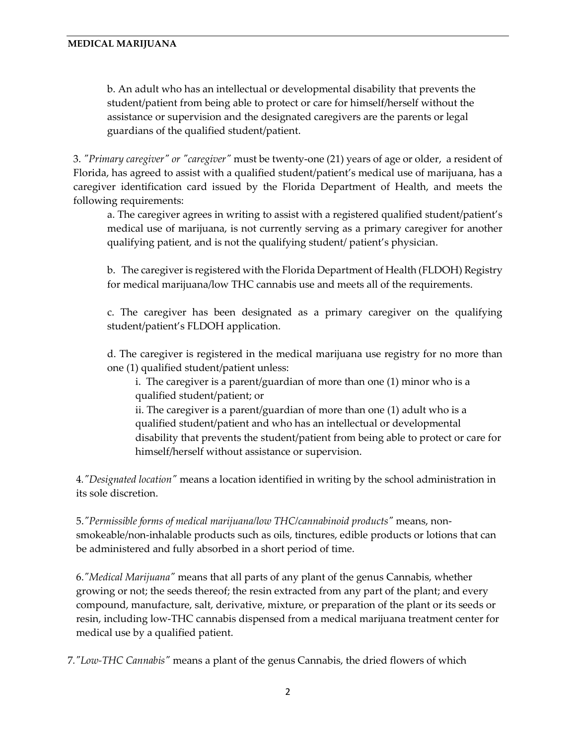b. An adult who has an intellectual or developmental disability that prevents the student/patient from being able to protect or care for himself/herself without the assistance or supervision and the designated caregivers are the parents or legal guardians of the qualified student/patient.

3. *"Primary caregiver" or "caregiver"* must be twenty-one (21) years of age or older, a resident of Florida, has agreed to assist with a qualified student/patient's medical use of marijuana, has a caregiver identification card issued by the Florida Department of Health, and meets the following requirements:

a. The caregiver agrees in writing to assist with a registered qualified student/patient's medical use of marijuana, is not currently serving as a primary caregiver for another qualifying patient, and is not the qualifying student/ patient's physician.

b. The caregiver is registered with the Florida Department of Health (FLDOH) Registry for medical marijuana/low THC cannabis use and meets all of the requirements.

c. The caregiver has been designated as a primary caregiver on the qualifying student/patient's FLDOH application.

d. The caregiver is registered in the medical marijuana use registry for no more than one (1) qualified student/patient unless:

i. The caregiver is a parent/guardian of more than one (1) minor who is a qualified student/patient; or

ii. The caregiver is a parent/guardian of more than one (1) adult who is a qualified student/patient and who has an intellectual or developmental disability that prevents the student/patient from being able to protect or care for himself/herself without assistance or supervision.

4*."Designated location"* means a location identified in writing by the school administration in its sole discretion.

5.*"Permissible forms of medical marijuana/low THC/cannabinoid products"* means, nonsmokeable/non-inhalable products such as oils, tinctures, edible products or lotions that can be administered and fully absorbed in a short period of time.

6.*"Medical Marijuana"* means that all parts of any plant of the genus Cannabis, whether growing or not; the seeds thereof; the resin extracted from any part of the plant; and every compound, manufacture, salt, derivative, mixture, or preparation of the plant or its seeds or resin, including low-THC cannabis dispensed from a medical marijuana treatment center for medical use by a qualified patient.

7*."Low-THC Cannabis"* means a plant of the genus Cannabis, the dried flowers of which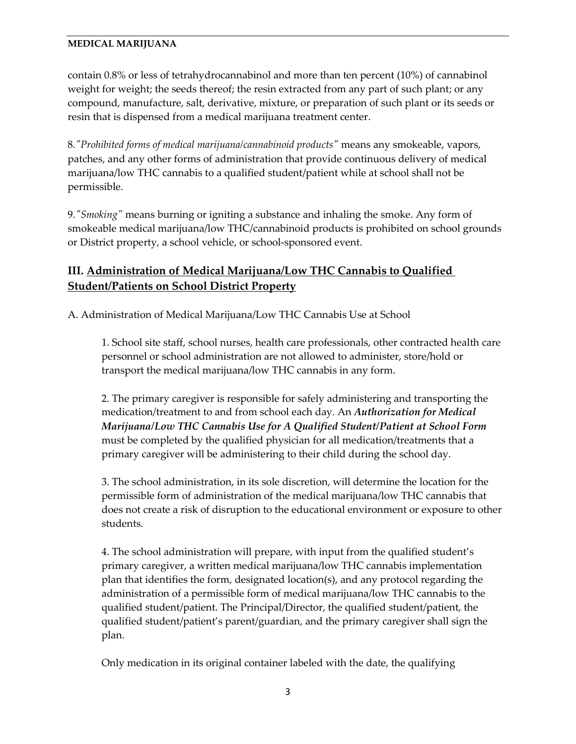contain 0.8% or less of tetrahydrocannabinol and more than ten percent (10%) of cannabinol weight for weight; the seeds thereof; the resin extracted from any part of such plant; or any compound, manufacture, salt, derivative, mixture, or preparation of such plant or its seeds or resin that is dispensed from a medical marijuana treatment center.

8*."Prohibited forms of medical marijuana/cannabinoid products"* means any smokeable, vapors, patches, and any other forms of administration that provide continuous delivery of medical marijuana/low THC cannabis to a qualified student/patient while at school shall not be permissible.

9*."Smoking"* means burning or igniting a substance and inhaling the smoke. Any form of smokeable medical marijuana/low THC/cannabinoid products is prohibited on school grounds or District property, a school vehicle, or school-sponsored event.

# **III. Administration of Medical Marijuana/Low THC Cannabis to Qualified Student/Patients on School District Property**

A. Administration of Medical Marijuana/Low THC Cannabis Use at School

1. School site staff, school nurses, health care professionals, other contracted health care personnel or school administration are not allowed to administer, store/hold or transport the medical marijuana/low THC cannabis in any form.

2. The primary caregiver is responsible for safely administering and transporting the medication/treatment to and from school each day. An *Authorization for Medical Marijuana/Low THC Cannabis Use for A Qualified Student/Patient at School Form* must be completed by the qualified physician for all medication/treatments that a primary caregiver will be administering to their child during the school day.

3. The school administration, in its sole discretion, will determine the location for the permissible form of administration of the medical marijuana/low THC cannabis that does not create a risk of disruption to the educational environment or exposure to other students.

4. The school administration will prepare, with input from the qualified student's primary caregiver, a written medical marijuana/low THC cannabis implementation plan that identifies the form, designated location(s), and any protocol regarding the administration of a permissible form of medical marijuana/low THC cannabis to the qualified student/patient. The Principal/Director, the qualified student/patient, the qualified student/patient's parent/guardian, and the primary caregiver shall sign the plan.

Only medication in its original container labeled with the date, the qualifying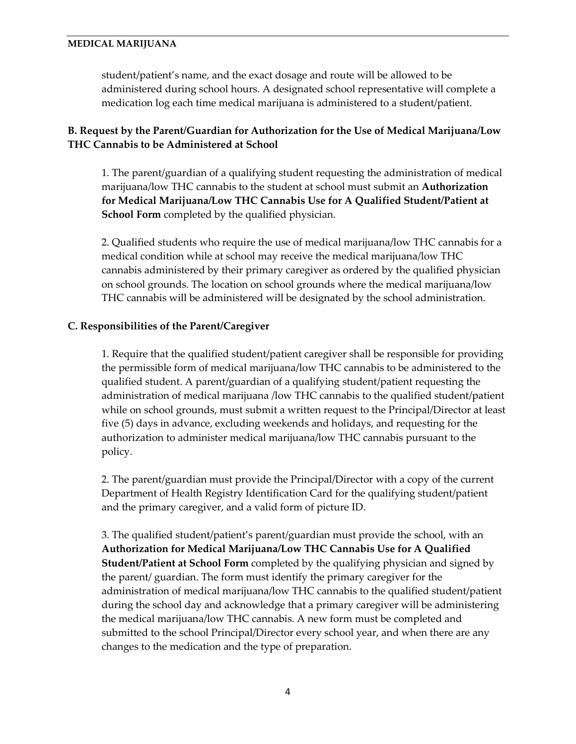student/patient's name, and the exact dosage and route will be allowed to be administered during school hours. A designated school representative will complete a medication log each time medical marijuana is administered to a student/patient.

## **B. Request by the Parent/Guardian for Authorization for the Use of Medical Marijuana/Low THC Cannabis to be Administered at School**

1. The parent/guardian of a qualifying student requesting the administration of medical marijuana/low THC cannabis to the student at school must submit an **Authorization for Medical Marijuana/Low THC Cannabis Use for A Qualified Student/Patient at School Form** completed by the qualified physician.

2. Qualified students who require the use of medical marijuana/low THC cannabis for a medical condition while at school may receive the medical marijuana/low THC cannabis administered by their primary caregiver as ordered by the qualified physician on school grounds. The location on school grounds where the medical marijuana/low THC cannabis will be administered will be designated by the school administration.

### **C. Responsibilities of the Parent/Caregiver**

1. Require that the qualified student/patient caregiver shall be responsible for providing the permissible form of medical marijuana/low THC cannabis to be administered to the qualified student. A parent/guardian of a qualifying student/patient requesting the administration of medical marijuana /low THC cannabis to the qualified student/patient while on school grounds, must submit a written request to the Principal/Director at least five (5) days in advance, excluding weekends and holidays, and requesting for the authorization to administer medical marijuana/low THC cannabis pursuant to the policy.

2. The parent/guardian must provide the Principal/Director with a copy of the current Department of Health Registry Identification Card for the qualifying student/patient and the primary caregiver, and a valid form of picture ID.

3. The qualified student/patient's parent/guardian must provide the school, with an **Authorization for Medical Marijuana/Low THC Cannabis Use for A Qualified Student/Patient at School Form** completed by the qualifying physician and signed by the parent/ guardian. The form must identify the primary caregiver for the administration of medical marijuana/low THC cannabis to the qualified student/patient during the school day and acknowledge that a primary caregiver will be administering the medical marijuana/low THC cannabis. A new form must be completed and submitted to the school Principal/Director every school year, and when there are any changes to the medication and the type of preparation.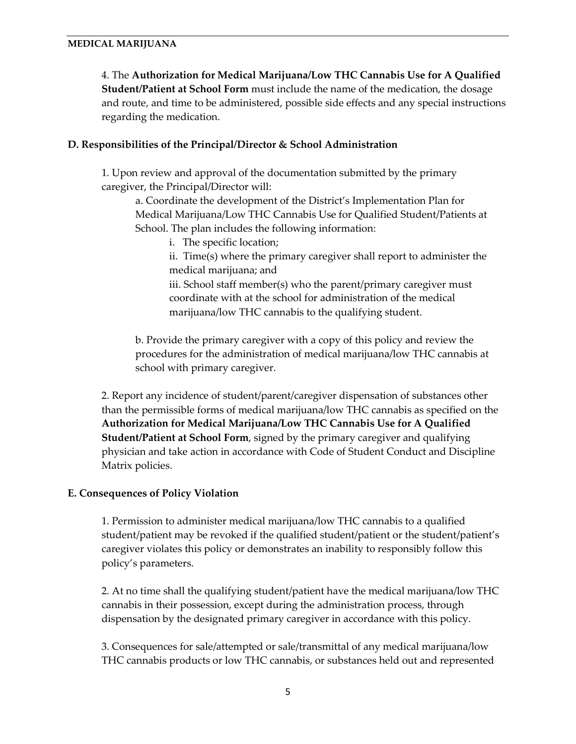4. The **Authorization for Medical Marijuana/Low THC Cannabis Use for A Qualified Student/Patient at School Form** must include the name of the medication, the dosage and route, and time to be administered, possible side effects and any special instructions regarding the medication.

### **D. Responsibilities of the Principal/Director & School Administration**

1. Upon review and approval of the documentation submitted by the primary caregiver, the Principal/Director will:

a. Coordinate the development of the District's Implementation Plan for Medical Marijuana/Low THC Cannabis Use for Qualified Student/Patients at School. The plan includes the following information:

- i. The specific location;
- ii. Time(s) where the primary caregiver shall report to administer the medical marijuana; and

iii. School staff member(s) who the parent/primary caregiver must coordinate with at the school for administration of the medical marijuana/low THC cannabis to the qualifying student.

b. Provide the primary caregiver with a copy of this policy and review the procedures for the administration of medical marijuana/low THC cannabis at school with primary caregiver.

2. Report any incidence of student/parent/caregiver dispensation of substances other than the permissible forms of medical marijuana/low THC cannabis as specified on the **Authorization for Medical Marijuana/Low THC Cannabis Use for A Qualified Student/Patient at School Form**, signed by the primary caregiver and qualifying physician and take action in accordance with Code of Student Conduct and Discipline Matrix policies.

### **E. Consequences of Policy Violation**

1. Permission to administer medical marijuana/low THC cannabis to a qualified student/patient may be revoked if the qualified student/patient or the student/patient's caregiver violates this policy or demonstrates an inability to responsibly follow this policy's parameters.

2. At no time shall the qualifying student/patient have the medical marijuana/low THC cannabis in their possession, except during the administration process, through dispensation by the designated primary caregiver in accordance with this policy.

3. Consequences for sale/attempted or sale/transmittal of any medical marijuana/low THC cannabis products or low THC cannabis, or substances held out and represented